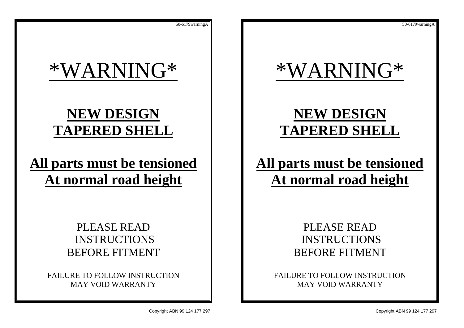# \*WARNING\*

## **NEW DESIGN TAPERED SHELL**

## **All parts must be tensioned At normal road height**

## PLEASE READ INSTRUCTIONS BEFORE FITMENT

FAILURE TO FOLLOW INSTRUCTION MAY VOID WARRANTY

Copyright ABN 99 124 177 297 Copyright ABN 99 124 177 297